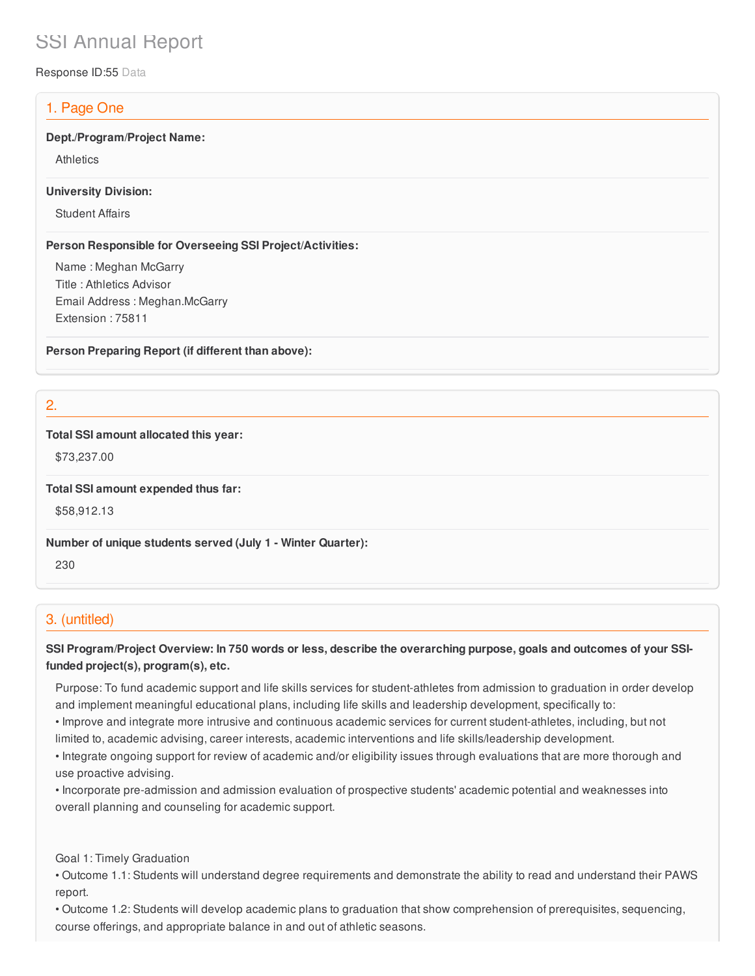# SSI Annual Report

Response ID:55 Data

# 1. Page One

#### **Dept./Program/Project Name:**

**Athletics** 

#### **University Division:**

Student Affairs

#### **Person Responsible for Overseeing SSI Project/Activities:**

Name : Meghan McGarry Title : Athletics Advisor Email Address : Meghan.McGarry Extension : 75811

**Person Preparing Report (if different than above):**

2.

#### **Total SSI amount allocated this year:**

\$73,237.00

**Total SSI amount expended thus far:**

\$58,912.13

**Number of unique students served (July 1 - Winter Quarter):**

230

# 3. (untitled)

### SSI Program/Project Overview: In 750 words or less, describe the overarching purpose, goals and outcomes of your SSI**funded project(s), program(s), etc.**

Purpose: To fund academic support and life skills services for student-athletes from admission to graduation in order develop and implement meaningful educational plans, including life skills and leadership development, specifically to:

- Improve and integrate more intrusive and continuous academic services for current student-athletes, including, but not limited to, academic advising, career interests, academic interventions and life skills/leadership development.
- Integrate ongoing support for review of academic and/or eligibility issues through evaluations that are more thorough and use proactive advising.
- Incorporate pre-admission and admission evaluation of prospective students' academic potential and weaknesses into overall planning and counseling for academic support.

Goal 1: Timely Graduation

• Outcome 1.1: Students will understand degree requirements and demonstrate the ability to read and understand their PAWS report.

• Outcome 1.2: Students will develop academic plans to graduation that show comprehension of prerequisites, sequencing, course offerings, and appropriate balance in and out of athletic seasons.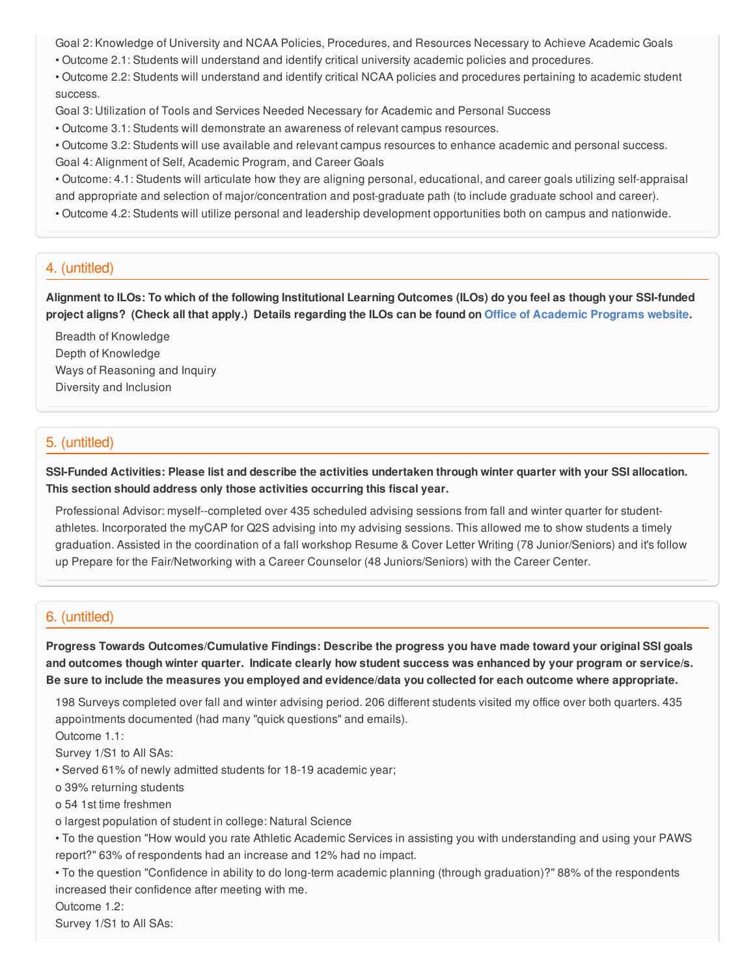Goal 2: Knowledge of University and NCAA Policies, Procedures, and Resources Necessary to Achieve Academic Goals • Outcome 2.1: Students will understand and identify critical university academic policies and procedures.

• Outcome 2.2: Students will understand and identify critical NCAA policies and procedures pertaining to academic student success.

Goal 3: Utilization of Tools and Services Needed Necessary for Academic and Personal Success

• Outcome 3.1: Students will demonstrate an awareness of relevant campus resources.

• Outcome 3.2: Students will use available and relevant campus resources to enhance academic and personal success.

Goal 4: Alignment of Self, Academic Program, and Career Goals

• Outcome: 4.1: Students will articulate how they are aligning personal, educational, and career goals utilizing self-appraisal and appropriate and selection of major/concentration and post-graduate path (to include graduate school and career).

• Outcome 4.2: Students will utilize personal and leadership development opportunities both on campus and nationwide.

### 4. (untitled)

Alignment to ILOs: To which of the following Institutional Learning Outcomes (ILOs) do you feel as though your SSI-funded project aligns? (Check all that apply.) Details regarding the ILOs can be found on Office of [Academic](https://www.csusb.edu/sites/csusb/files/CSUSB_Institutional_Learning_Outcomes-Endorsed.pdf) Programs website.

Breadth of Knowledge Depth of Knowledge Ways of Reasoning and Inquiry Diversity and Inclusion

# 5. (untitled)

SSI-Funded Activities: Please list and describe the activities undertaken through winter quarter with your SSI allocation. **This section should address only those activities occurring this fiscal year.**

Professional Advisor: myself--completed over 435 scheduled advising sessions from fall and winter quarter for studentathletes. Incorporated the myCAP for Q2S advising into my advising sessions. This allowed me to show students a timely graduation. Assisted in the coordination of a fall workshop Resume & Cover Letter Writing (78 Junior/Seniors) and it's follow up Prepare for the Fair/Networking with a Career Counselor (48 Juniors/Seniors) with the Career Center.

### 6. (untitled)

**Progress Towards Outcomes/Cumulative Findings: Describe the progress you have made toward your original SSI goals** and outcomes though winter quarter. Indicate clearly how student success was enhanced by your program or service/s. Be sure to include the measures you employed and evidence/data you collected for each outcome where appropriate.

198 Surveys completed over fall and winter advising period. 206 different students visited my office over both quarters. 435 appointments documented (had many "quick questions" and emails).

Outcome 1.1:

Survey 1/S1 to All SAs:

• Served 61% of newly admitted students for 18-19 academic year;

o 39% returning students

o 54 1st time freshmen

o largest population of student in college: Natural Science

• To the question "How would you rate Athletic Academic Services in assisting you with understanding and using your PAWS report?" 63% of respondents had an increase and 12% had no impact.

• To the question "Confidence in ability to do long-term academic planning (through graduation)?" 88% of the respondents increased their confidence after meeting with me.

Outcome 1.2:

Survey 1/S1 to All SAs: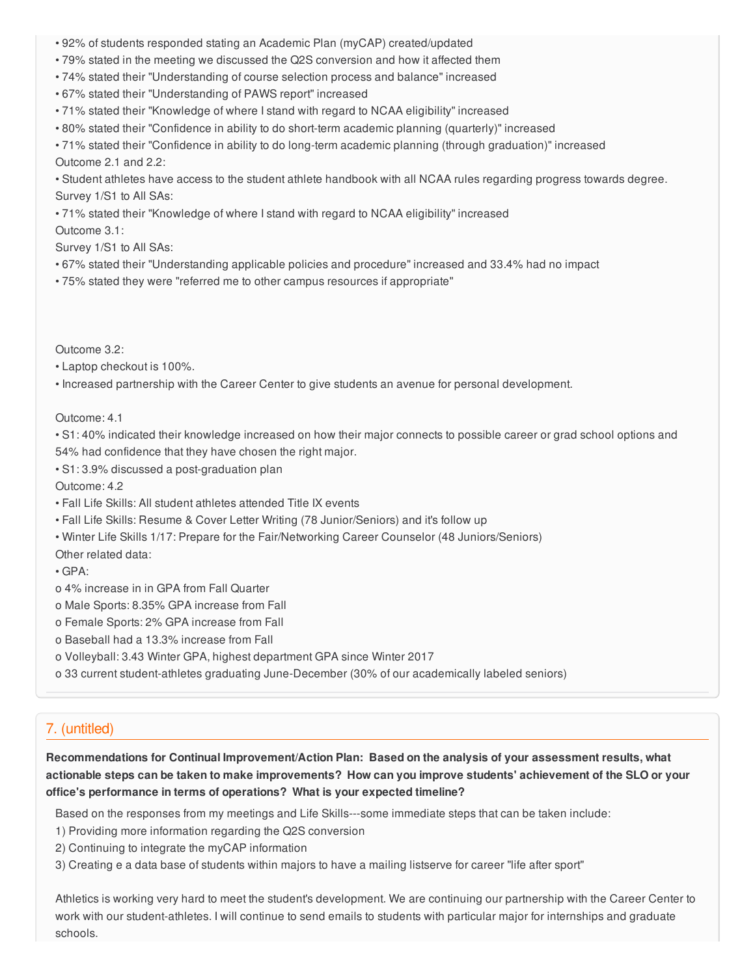- 92% of students responded stating an Academic Plan (myCAP) created/updated
- 79% stated in the meeting we discussed the Q2S conversion and how it affected them
- 74% stated their "Understanding of course selection process and balance" increased
- 67% stated their "Understanding of PAWS report" increased
- 71% stated their "Knowledge of where I stand with regard to NCAA eligibility" increased
- 80% stated their "Confidence in ability to do short-term academic planning (quarterly)" increased
- 71% stated their "Confidence in ability to do long-term academic planning (through graduation)" increased

Outcome 2.1 and 2.2:

• Student athletes have access to the student athlete handbook with all NCAA rules regarding progress towards degree. Survey 1/S1 to All SAs:

• 71% stated their "Knowledge of where I stand with regard to NCAA eligibility" increased

Outcome 3.1:

Survey 1/S1 to All SAs:

- 67% stated their "Understanding applicable policies and procedure" increased and 33.4% had no impact
- 75% stated they were "referred me to other campus resources if appropriate"

Outcome 3.2:

• Laptop checkout is 100%.

• Increased partnership with the Career Center to give students an avenue for personal development.

Outcome: 4.1

• S1: 40% indicated their knowledge increased on how their major connects to possible career or grad school options and 54% had confidence that they have chosen the right major.

• S1: 3.9% discussed a post-graduation plan

Outcome: 4.2

- Fall Life Skills: All student athletes attended Title IX events
- Fall Life Skills: Resume & Cover Letter Writing (78 Junior/Seniors) and it's follow up
- Winter Life Skills 1/17: Prepare for the Fair/Networking Career Counselor (48 Juniors/Seniors)

Other related data:

• GPA:

- o 4% increase in in GPA from Fall Quarter
- o Male Sports: 8.35% GPA increase from Fall
- o Female Sports: 2% GPA increase from Fall
- o Baseball had a 13.3% increase from Fall
- o Volleyball: 3.43 Winter GPA, highest department GPA since Winter 2017
- o 33 current student-athletes graduating June-December (30% of our academically labeled seniors)

### 7. (untitled)

**Recommendations for Continual Improvement/Action Plan: Based on the analysis of your assessment results, what** actionable steps can be taken to make improvements? How can you improve students' achievement of the SLO or your **office's performance in terms of operations? What is your expected timeline?**

Based on the responses from my meetings and Life Skills---some immediate steps that can be taken include:

- 1) Providing more information regarding the Q2S conversion
- 2) Continuing to integrate the myCAP information
- 3) Creating e a data base of students within majors to have a mailing listserve for career "life after sport"

Athletics is working very hard to meet the student's development. We are continuing our partnership with the Career Center to work with our student-athletes. I will continue to send emails to students with particular major for internships and graduate schools.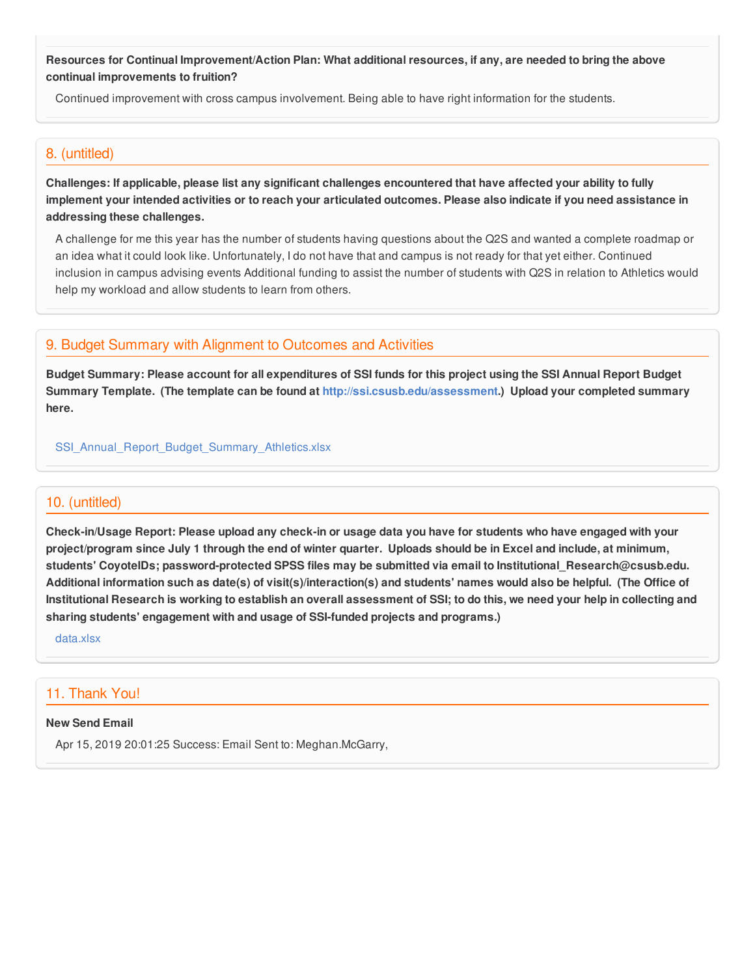Resources for Continual Improvement/Action Plan: What additional resources, if any, are needed to bring the above **continual improvements to fruition?**

Continued improvement with cross campus involvement. Being able to have right information for the students.

### 8. (untitled)

Challenges: If applicable, please list any significant challenges encountered that have affected your ability to fully implement your intended activities or to reach your articulated outcomes. Please also indicate if you need assistance in **addressing these challenges.**

A challenge for me this year has the number of students having questions about the Q2S and wanted a complete roadmap or an idea what it could look like. Unfortunately, I do not have that and campus is not ready for that yet either. Continued inclusion in campus advising events Additional funding to assist the number of students with Q2S in relation to Athletics would help my workload and allow students to learn from others.

## 9. Budget Summary with Alignment to Outcomes and Activities

Budget Summary: Please account for all expenditures of SSI funds for this project using the SSI Annual Report Budget **Summary Template. (The template can be found at <http://ssi.csusb.edu/assessment>.) Upload your completed summary here.**

[SSI\\_Annual\\_Report\\_Budget\\_Summary\\_Athletics.xlsx](https://surveygizmoresponseuploads.s3.amazonaws.com/fileuploads/98679/3939151/226-7dd314030b5ba24f44e1c281cb27bab5_SSI_Annual_Report_Budget_Summary_Athletics.xlsx)

### 10. (untitled)

Check-in/Usage Report: Please upload any check-in or usage data you have for students who have engaged with your project/program since July 1 through the end of winter quarter. Uploads should be in Excel and include, at minimum, **students' CoyoteIDs; password-protected SPSS files may be submitted via email to Institutional\_Research@csusb.edu.** Additional information such as date(s) of visit(s)/interaction(s) and students' names would also be helpful. (The Office of Institutional Research is working to establish an overall assessment of SSI; to do this, we need your help in collecting and **sharing students' engagement with and usage of SSI-funded projects and programs.)**

[data.xlsx](https://surveygizmoresponseuploads.s3.amazonaws.com/fileuploads/98679/3939151/118-10977c40684b3e27b5dfa28e37e82e51_data.xlsx)

# 11. Thank You!

#### **New Send Email**

Apr 15, 2019 20:01:25 Success: Email Sent to: Meghan.McGarry,